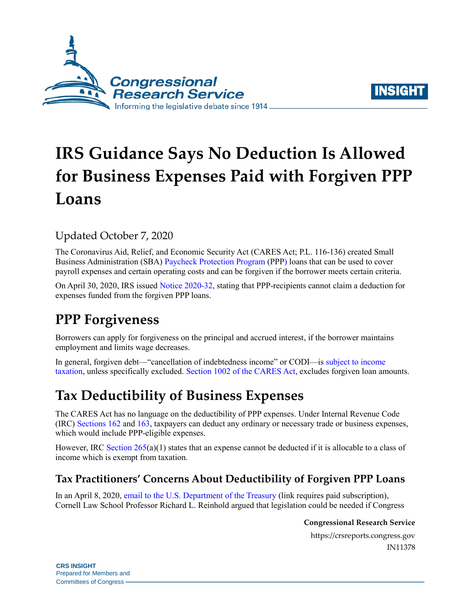



# **IRS Guidance Says No Deduction Is Allowed for Business Expenses Paid with Forgiven PPP Loans**

### Updated October 7, 2020

The Coronavirus Aid, Relief, and Economic Security Act (CARES Act; [P.L. 116-136\)](http://www.congress.gov/cgi-lis/bdquery/R?d116:FLD002:@1(116+136)) created Small Business Administration (SBA) [Paycheck Protection Program](https://crsreports.congress.gov/product/pdf/R/R46397) (PPP) loans that can be used to cover payroll expenses and certain operating costs and can be forgiven if the borrower meets certain criteria.

On April 30, 2020, IRS issued [Notice 2020-32,](https://www.irs.gov/pub/irs-drop/n-20-32.pdf) stating that PPP-recipients cannot claim a deduction for expenses funded from the forgiven PPP loans.

# **PPP Forgiveness**

Borrowers can apply for forgiveness on the principal and accrued interest, if the borrower maintains employment and limits wage decreases.

In general, forgiven debt—"cancellation of indebtedness income" or CODI—is [subject to income](https://www.irs.gov/taxtopics/tc431)  [taxation,](https://www.irs.gov/taxtopics/tc431) unless specifically excluded. Section [1002 of the CARES Act,](https://www.congress.gov/bill/116th-congress/house-bill/748/text#toc-HCCF2DA7CBD6341059EAB97C24489743B) excludes forgiven loan amounts.

# **Tax Deductibility of Business Expenses**

The CARES Act has no language on the deductibility of PPP expenses. Under Internal Revenue Code (IRC) [Sections 162](https://uscode.house.gov/view.xhtml?req=(title:26%20section:162%20edition:prelim)%20OR%20(granuleid:USC-prelim-title26-section162)&f=treesort&edition=prelim&num=0&jumpTo=true) and [163,](https://uscode.house.gov/view.xhtml?req=(title:26%20section:163%20edition:prelim)%20OR%20(granuleid:USC-prelim-title26-section163)&f=treesort&edition=prelim&num=0&jumpTo=true) taxpayers can deduct any ordinary or necessary trade or business expenses, which would include PPP-eligible expenses.

However, IRC Section  $265(a)(1)$  states that an expense cannot be deducted if it is allocable to a class of income which is exempt from taxation.

### **Tax Practitioners' Concerns About Deductibility of Forgiven PPP Loans**

In an April 8, 2020, email [to the U.S. Department of the Treasury](https://www.taxnotes.com/tax-notes-today-federal/exemptions-and-deductions/professor-questions-double-benefit-plus-expense-deduction-ppp-loans/2020/04/09/2cd7r) (link requires paid subscription), Cornell Law School Professor Richard L. Reinhold argued that legislation could be needed if Congress

#### **Congressional Research Service**

https://crsreports.congress.gov IN11378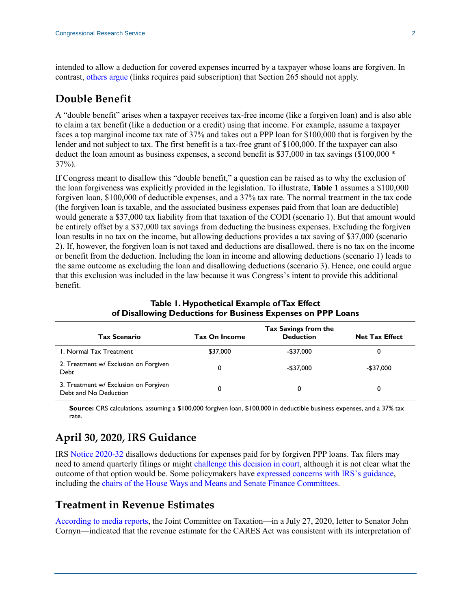intended to allow a deduction for covered expenses incurred by a taxpayer whose loans are forgiven. In contrast, [others argue](https://www.taxnotes.com/tax-notes-federal/income/double-tax-benefits-cares-act/2020/04/20/2cf5y?highlight=reinhold) (links requires paid subscription) that Section 265 should not apply.

#### **Double Benefit**

A "double benefit" arises when a taxpayer receives tax-free income (like a forgiven loan) and is also able to claim a tax benefit (like a deduction or a credit) using that income. For example, assume a taxpayer faces a top marginal income tax rate of 37% and takes out a PPP loan for \$100,000 that is forgiven by the lender and not subject to tax. The first benefit is a tax-free grant of \$100,000. If the taxpayer can also deduct the loan amount as business expenses, a second benefit is \$37,000 in tax savings (\$100,000 \* 37%).

If Congress meant to disallow this "double benefit," a question can be raised as to why the exclusion of the loan forgiveness was explicitly provided in the legislation. To illustrate, **[Table 1](#page-1-0)** assumes a \$100,000 forgiven loan, \$100,000 of deductible expenses, and a 37% tax rate. The normal treatment in the tax code (the forgiven loan is taxable, and the associated business expenses paid from that loan are deductible) would generate a \$37,000 tax liability from that taxation of the CODI (scenario 1). But that amount would be entirely offset by a \$37,000 tax savings from deducting the business expenses. Excluding the forgiven loan results in no tax on the income, but allowing deductions provides a tax saving of \$37,000 (scenario 2). If, however, the forgiven loan is not taxed and deductions are disallowed, there is no tax on the income or benefit from the deduction. Including the loan in income and allowing deductions (scenario 1) leads to the same outcome as excluding the loan and disallowing deductions (scenario 3). Hence, one could argue that this exclusion was included in the law because it was Congress's intent to provide this additional benefit.

<span id="page-1-0"></span>

| <b>Tax Scenario</b>                                            | <b>Tax On Income</b> | Tax Savings from the<br><b>Deduction</b> | <b>Net Tax Effect</b> |
|----------------------------------------------------------------|----------------------|------------------------------------------|-----------------------|
| I. Normal Tax Treatment                                        | \$37,000             | -\$37,000                                | 0                     |
| 2. Treatment w/ Exclusion on Forgiven<br>Debt                  | 0                    | $-$37.000$                               | -\$37,000             |
| 3. Treatment w/ Exclusion on Forgiven<br>Debt and No Deduction | 0                    | 0                                        | 0                     |

**Table 1. Hypothetical Example ofTax Effect of Disallowing Deductions for Business Expenses on PPP Loans**

**Source:** CRS calculations, assuming a \$100,000 forgiven loan, \$100,000 in deductible business expenses, and a 37% tax rate.

### **April 30, 2020, IRS Guidance**

IRS [Notice 2020-32](https://www.irs.gov/pub/irs-drop/n-20-32.pdf) disallows deductions for expenses paid for by forgiven PPP loans. Tax filers may need to amend quarterly filings or might [challenge this decision in court,](https://www.forbes.com/sites/peterjreilly/2020/04/30/irs-rains-on-the-paycheck-protection-parade/#540aaa835312) although it is not clear what the outcome of that option would be. Some policymakers have [expressed concerns with IRS's guidance,](https://thehill.com/policy/finance/495996-mnuchin-defends-irs-guidance-on-ppp-loans) including the chairs [of the House Ways and Means and Senate Finance Committees.](https://www.finance.senate.gov/imo/media/doc/2020-05-05%20CEG,%20RW,%20RN%20to%20Treasury%20(PPP%20Business%20Deductions).pdf)

#### **Treatment in Revenue Estimates**

[According to media reports,](https://ih.advfn.com/stock-market/stock-news/82951863/congress-seeks-to-fix-120-billion-tax-snafu-in-pp) the Joint Committee on Taxation—in a July 27, 2020, letter to Senator John Cornyn—indicated that the revenue estimate for the CARES Act was consistent with its interpretation of